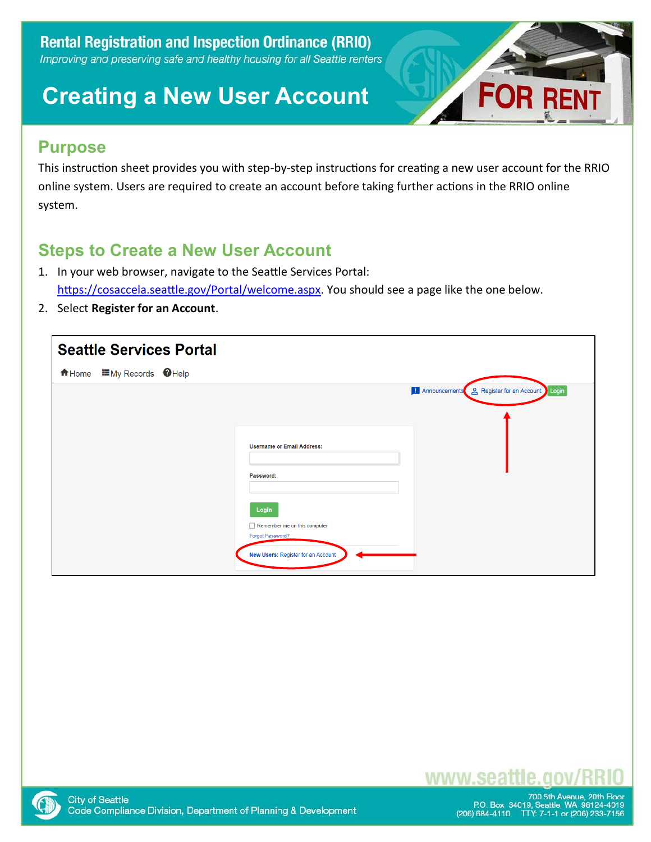

#### **Purpose**

This instruction sheet provides you with step-by-step instructions for creating a new user account for the RRIO online system. Users are required to create an account before taking further actions in the RRIO online system.

#### **Steps to Create a New User Account**

- 1. In your web browser, navigate to the Seattle Services Portal: [https://cosaccela.seattle.gov/Portal/welcome.aspx.](https://cosaccela.seattle.gov/Portal/welcome.aspx) You should see a page like the one below.
- 2. Select **Register for an Account**.

| <b>Seattle Services Portal</b>               |                                              |                                                               |
|----------------------------------------------|----------------------------------------------|---------------------------------------------------------------|
| <b>E</b> My Records <b>O</b> Help<br>fi Home |                                              |                                                               |
|                                              |                                              | <b>H</b> Announcements <b>2</b> Register for an Account Login |
|                                              |                                              |                                                               |
|                                              |                                              |                                                               |
|                                              | <b>Username or Email Address:</b>            |                                                               |
|                                              | Password:                                    |                                                               |
|                                              |                                              |                                                               |
|                                              | Login<br>$\Box$ Remember me on this computer |                                                               |
|                                              | Forgot Password?                             |                                                               |
|                                              | New Users: Register for an Account           |                                                               |

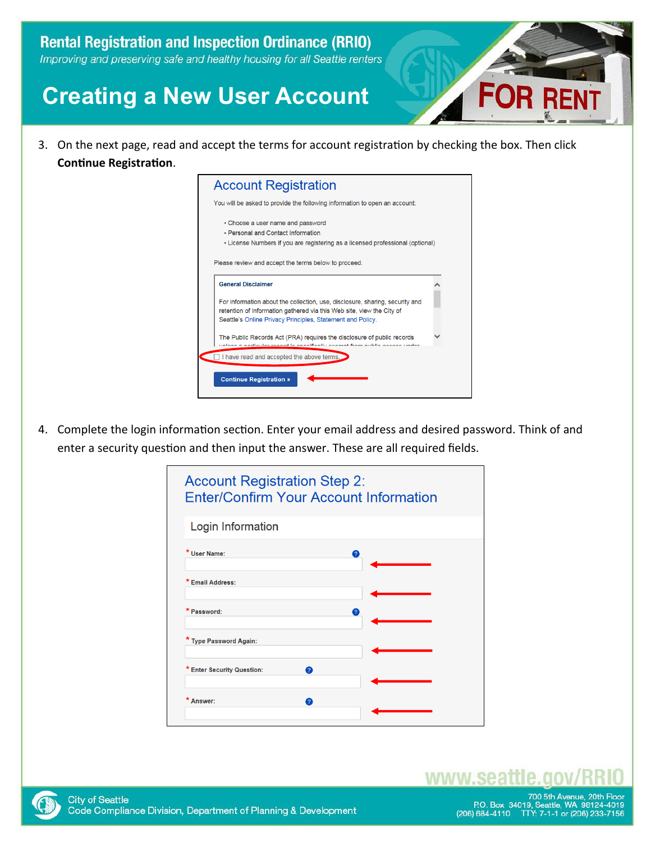3. On the next page, read and accept the terms for account registration by checking the box. Then click **Continue Registration**.



4. Complete the login information section. Enter your email address and desired password. Think of and enter a security question and then input the answer. These are all required fields.

| <b>Account Registration Step 2:</b><br><b>Enter/Confirm Your Account Information</b> |           |  |
|--------------------------------------------------------------------------------------|-----------|--|
| Login Information                                                                    |           |  |
| * User Name:                                                                         | Q         |  |
| <b>Email Address:</b>                                                                |           |  |
| * Password:                                                                          | Q         |  |
| <b>Type Password Again:</b>                                                          |           |  |
| * Enter Security Question:                                                           | $\bullet$ |  |
| * Answer:                                                                            | ℯ         |  |
|                                                                                      |           |  |



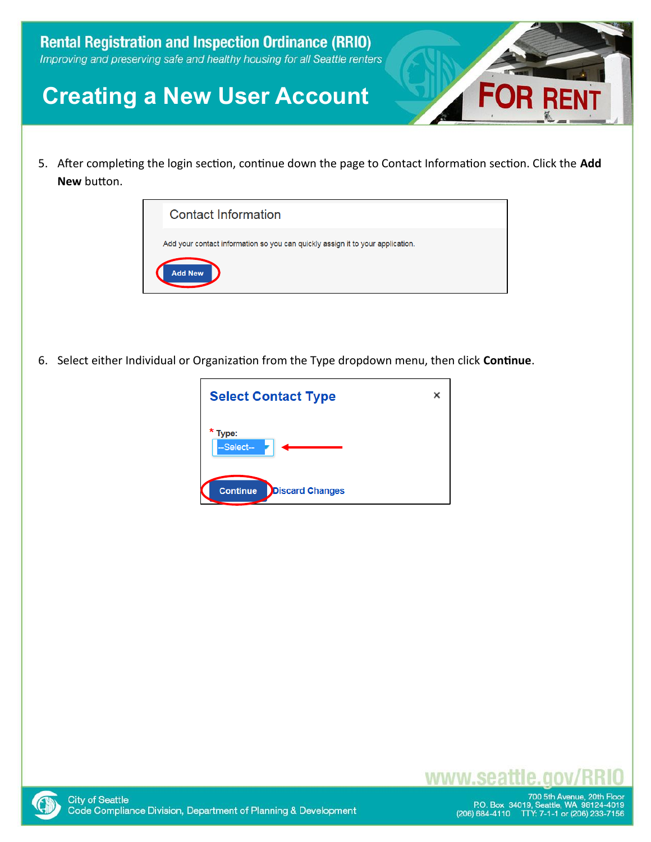

5. After completing the login section, continue down the page to Contact Information section. Click the **Add New** button.



6. Select either Individual or Organization from the Type dropdown menu, then click **Continue**.

| <b>Select Contact Type</b>                | x |
|-------------------------------------------|---|
| Type:<br>--Select--                       |   |
| <b>Discard Changes</b><br><b>Continue</b> |   |



www.seattle.gov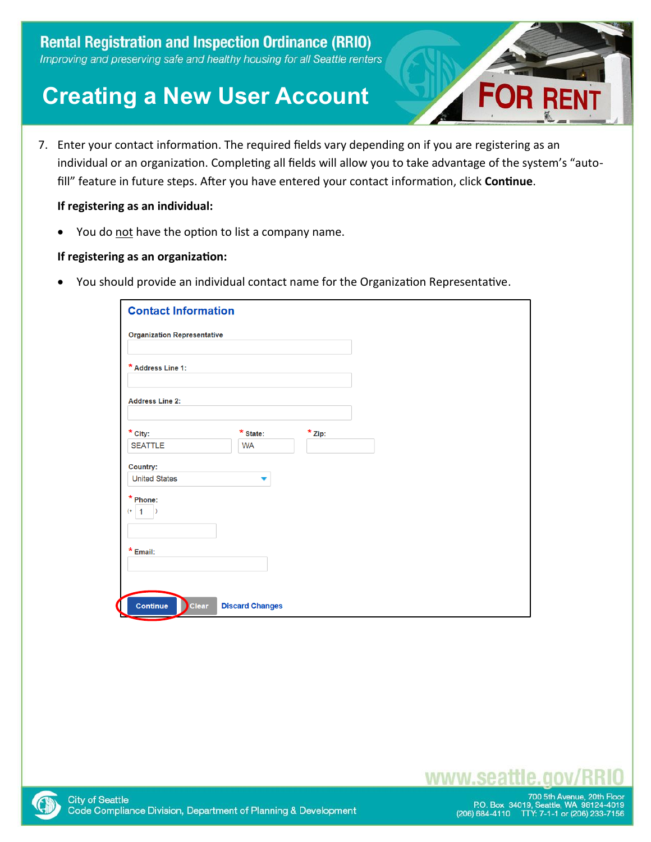

7. Enter your contact information. The required fields vary depending on if you are registering as an individual or an organization. Completing all fields will allow you to take advantage of the system's "autofill" feature in future steps. After you have entered your contact information, click **Continue**.

#### **If registering as an individual:**

You do not have the option to list a company name.

#### **If registering as an organization:**

• You should provide an individual contact name for the Organization Representative.

| <b>Contact Information</b>         |                        |        |  |
|------------------------------------|------------------------|--------|--|
| <b>Organization Representative</b> |                        |        |  |
| * Address Line 1:                  |                        |        |  |
| <b>Address Line 2:</b>             |                        |        |  |
| $*$ City:                          | $*$ State:             | * Zip: |  |
| <b>SEATTLE</b>                     | <b>WA</b>              |        |  |
| Country:                           |                        |        |  |
| <b>United States</b>               | ▼                      |        |  |
| $*$ Phone:<br>$(+ 1)$<br>D         |                        |        |  |
| $*$ Email:                         |                        |        |  |
| Continue<br>Clear                  | <b>Discard Changes</b> |        |  |